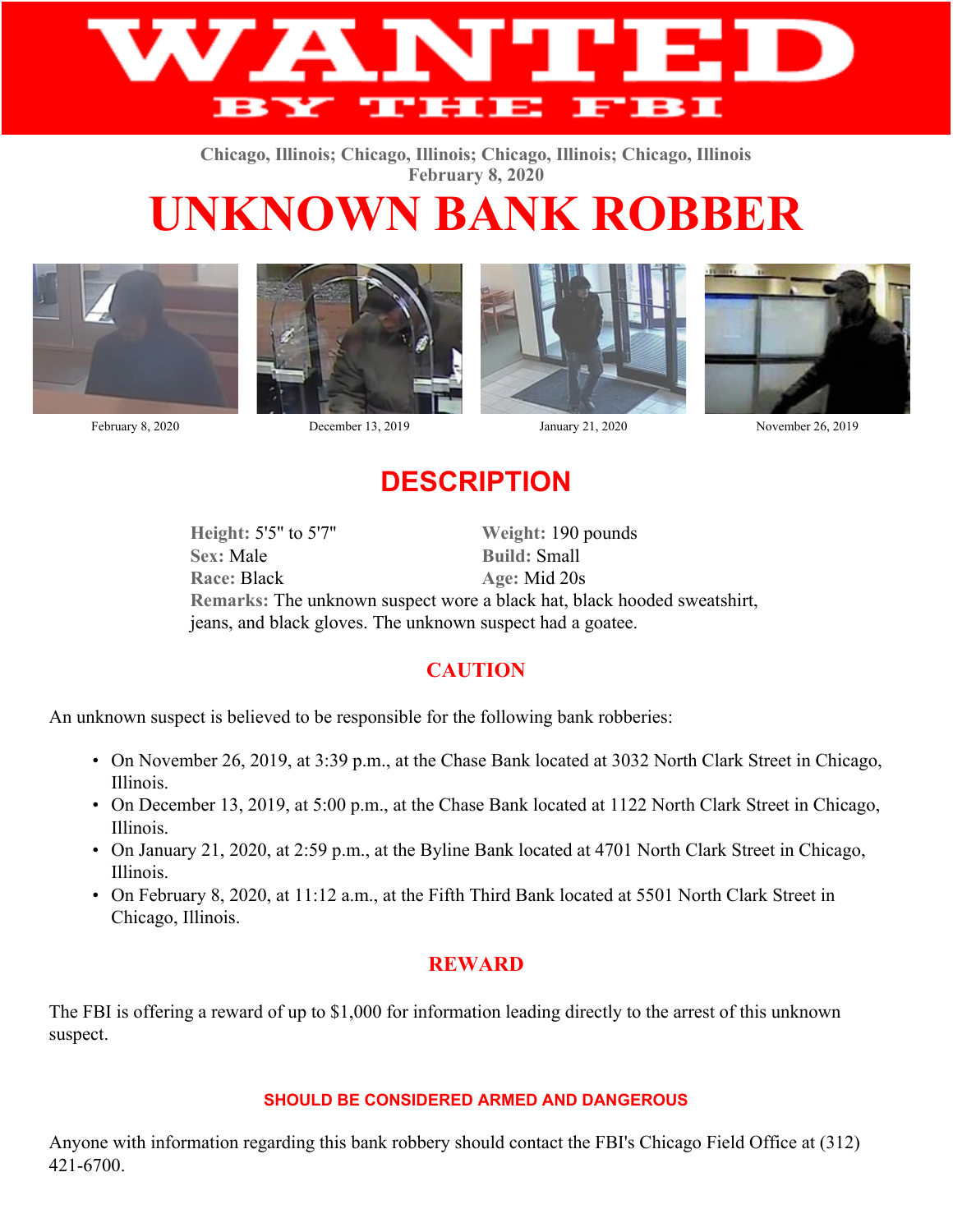

**Chicago, Illinois; Chicago, Illinois; Chicago, Illinois; Chicago, Illinois February 8, 2020**

# **UNKNOWN BANK ROBBER**





February 8, 2020 December 13, 2019 January 21, 2020 November 26, 2019





## **DESCRIPTION**

**Height:** 5'5'' to 5'7'' **Weight:** 190 pounds Sex: Male **Build:** Small **Race:** Black **Age:** Mid 20s **Remarks:** The unknown suspect wore a black hat, black hooded sweatshirt, jeans, and black gloves. The unknown suspect had a goatee.

### **CAUTION**

An unknown suspect is believed to be responsible for the following bank robberies:

- On November 26, 2019, at 3:39 p.m., at the Chase Bank located at 3032 North Clark Street in Chicago, Illinois.
- On December 13, 2019, at 5:00 p.m., at the Chase Bank located at 1122 North Clark Street in Chicago, Illinois.
- On January 21, 2020, at 2:59 p.m., at the Byline Bank located at 4701 North Clark Street in Chicago, Illinois.
- On February 8, 2020, at 11:12 a.m., at the Fifth Third Bank located at 5501 North Clark Street in Chicago, Illinois.

#### **REWARD**

The FBI is offering a reward of up to \$1,000 for information leading directly to the arrest of this unknown suspect.

#### **SHOULD BE CONSIDERED ARMED AND DANGEROUS**

Anyone with information regarding this bank robbery should contact the FBI's Chicago Field Office at (312) 421-6700.